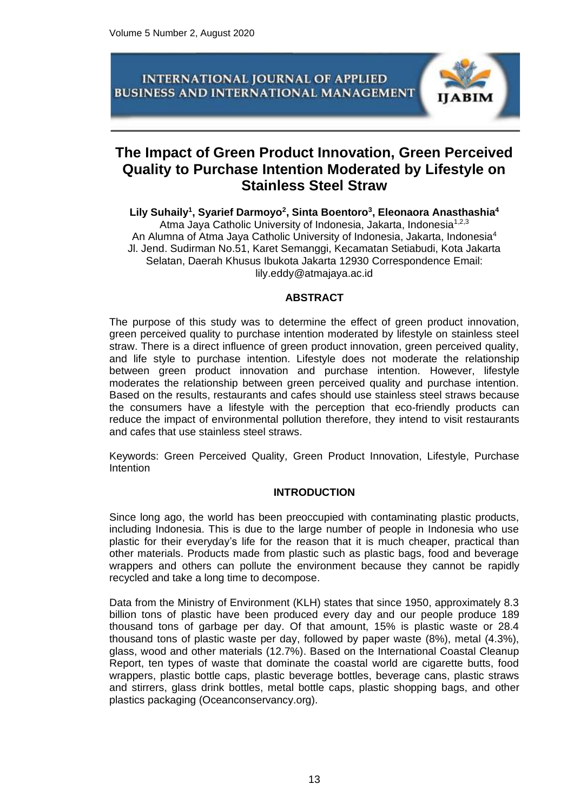

# **The Impact of Green Product Innovation, Green Perceived Quality to Purchase Intention Moderated by Lifestyle on Stainless Steel Straw**

# **Lily Suhaily<sup>1</sup> , Syarief Darmoyo<sup>2</sup> , Sinta Boentoro<sup>3</sup> , Eleonaora Anasthashia<sup>4</sup>** Atma Jaya Catholic University of Indonesia, Jakarta, Indonesia<sup>1,2,3</sup>

An Alumna of Atma Jaya Catholic University of Indonesia, Jakarta, Indonesia<sup>4</sup> Jl. Jend. Sudirman No.51, Karet Semanggi, Kecamatan Setiabudi, Kota Jakarta Selatan, Daerah Khusus Ibukota Jakarta 12930 Correspondence Email: lily.eddy@atmajaya.ac.id

## **ABSTRACT**

The purpose of this study was to determine the effect of green product innovation, green perceived quality to purchase intention moderated by lifestyle on stainless steel straw. There is a direct influence of green product innovation, green perceived quality, and life style to purchase intention. Lifestyle does not moderate the relationship between green product innovation and purchase intention. However, lifestyle moderates the relationship between green perceived quality and purchase intention. Based on the results, restaurants and cafes should use stainless steel straws because the consumers have a lifestyle with the perception that eco-friendly products can reduce the impact of environmental pollution therefore, they intend to visit restaurants and cafes that use stainless steel straws.

Keywords: Green Perceived Quality, Green Product Innovation, Lifestyle, Purchase Intention

## **INTRODUCTION**

Since long ago, the world has been preoccupied with contaminating plastic products, including Indonesia. This is due to the large number of people in Indonesia who use plastic for their everyday's life for the reason that it is much cheaper, practical than other materials. Products made from plastic such as plastic bags, food and beverage wrappers and others can pollute the environment because they cannot be rapidly recycled and take a long time to decompose.

Data from the Ministry of Environment (KLH) states that since 1950, approximately 8.3 billion tons of plastic have been produced every day and our people produce 189 thousand tons of garbage per day. Of that amount, 15% is plastic waste or 28.4 thousand tons of plastic waste per day, followed by paper waste (8%), metal (4.3%), glass, wood and other materials (12.7%). Based on the International Coastal Cleanup Report, ten types of waste that dominate the coastal world are cigarette butts, food wrappers, plastic bottle caps, plastic beverage bottles, beverage cans, plastic straws and stirrers, glass drink bottles, metal bottle caps, plastic shopping bags, and other plastics packaging (Oceanconservancy.org).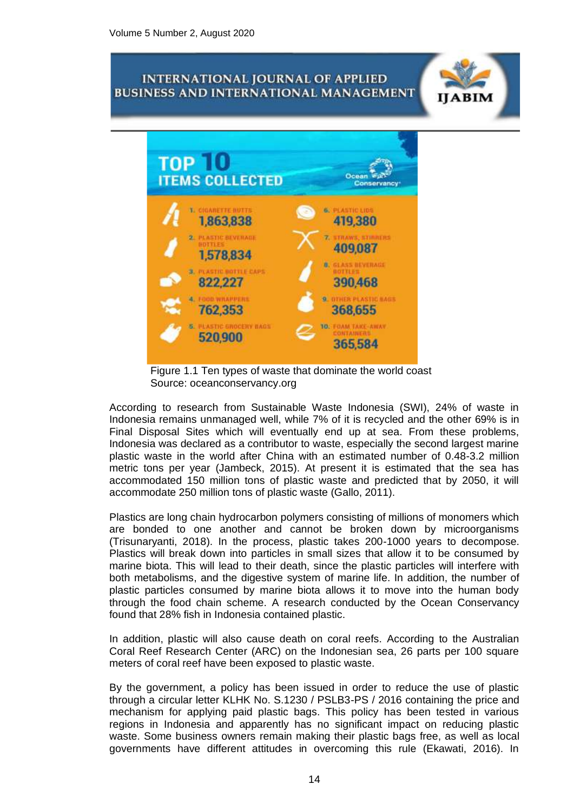A BIN



Figure 1.1 Ten types of waste that dominate the world coast Source: oceanconservancy.org

According to research from Sustainable Waste Indonesia (SWI), 24% of waste in Indonesia remains unmanaged well, while 7% of it is recycled and the other 69% is in Final Disposal Sites which will eventually end up at sea. From these problems, Indonesia was declared as a contributor to waste, especially the second largest marine plastic waste in the world after China with an estimated number of 0.48-3.2 million metric tons per year (Jambeck, 2015). At present it is estimated that the sea has accommodated 150 million tons of plastic waste and predicted that by 2050, it will accommodate 250 million tons of plastic waste (Gallo, 2011).

Plastics are long chain hydrocarbon polymers consisting of millions of monomers which are bonded to one another and cannot be broken down by microorganisms (Trisunaryanti, 2018). In the process, plastic takes 200-1000 years to decompose. Plastics will break down into particles in small sizes that allow it to be consumed by marine biota. This will lead to their death, since the plastic particles will interfere with both metabolisms, and the digestive system of marine life. In addition, the number of plastic particles consumed by marine biota allows it to move into the human body through the food chain scheme. A research conducted by the Ocean Conservancy found that 28% fish in Indonesia contained plastic.

In addition, plastic will also cause death on coral reefs. According to the Australian Coral Reef Research Center (ARC) on the Indonesian sea, 26 parts per 100 square meters of coral reef have been exposed to plastic waste.

By the government, a policy has been issued in order to reduce the use of plastic through a circular letter KLHK No. S.1230 / PSLB3-PS / 2016 containing the price and mechanism for applying paid plastic bags. This policy has been tested in various regions in Indonesia and apparently has no significant impact on reducing plastic waste. Some business owners remain making their plastic bags free, as well as local governments have different attitudes in overcoming this rule (Ekawati, 2016). In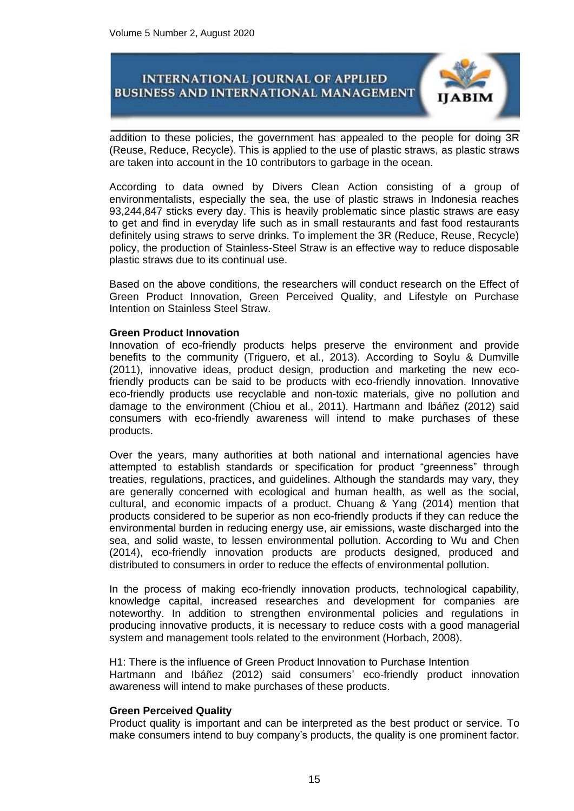

addition to these policies, the government has appealed to the people for doing 3R (Reuse, Reduce, Recycle). This is applied to the use of plastic straws, as plastic straws are taken into account in the 10 contributors to garbage in the ocean.

According to data owned by Divers Clean Action consisting of a group of environmentalists, especially the sea, the use of plastic straws in Indonesia reaches 93,244,847 sticks every day. This is heavily problematic since plastic straws are easy to get and find in everyday life such as in small restaurants and fast food restaurants definitely using straws to serve drinks. To implement the 3R (Reduce, Reuse, Recycle) policy, the production of Stainless-Steel Straw is an effective way to reduce disposable plastic straws due to its continual use.

Based on the above conditions, the researchers will conduct research on the Effect of Green Product Innovation, Green Perceived Quality, and Lifestyle on Purchase Intention on Stainless Steel Straw.

#### **Green Product Innovation**

Innovation of eco-friendly products helps preserve the environment and provide benefits to the community (Triguero, et al., 2013). According to Soylu & Dumville (2011), innovative ideas, product design, production and marketing the new ecofriendly products can be said to be products with eco-friendly innovation. Innovative eco-friendly products use recyclable and non-toxic materials, give no pollution and damage to the environment (Chiou et al., 2011). Hartmann and Ibáñez (2012) said consumers with eco-friendly awareness will intend to make purchases of these products.

Over the years, many authorities at both national and international agencies have attempted to establish standards or specification for product "greenness" through treaties, regulations, practices, and guidelines. Although the standards may vary, they are generally concerned with ecological and human health, as well as the social, cultural, and economic impacts of a product. Chuang & Yang (2014) mention that products considered to be superior as non eco-friendly products if they can reduce the environmental burden in reducing energy use, air emissions, waste discharged into the sea, and solid waste, to lessen environmental pollution. According to Wu and Chen (2014), eco-friendly innovation products are products designed, produced and distributed to consumers in order to reduce the effects of environmental pollution.

In the process of making eco-friendly innovation products, technological capability, knowledge capital, increased researches and development for companies are noteworthy. In addition to strengthen environmental policies and regulations in producing innovative products, it is necessary to reduce costs with a good managerial system and management tools related to the environment (Horbach, 2008).

H1: There is the influence of Green Product Innovation to Purchase Intention Hartmann and Ibáñez (2012) said consumers' eco-friendly product innovation awareness will intend to make purchases of these products.

#### **Green Perceived Quality**

Product quality is important and can be interpreted as the best product or service. To make consumers intend to buy company's products, the quality is one prominent factor.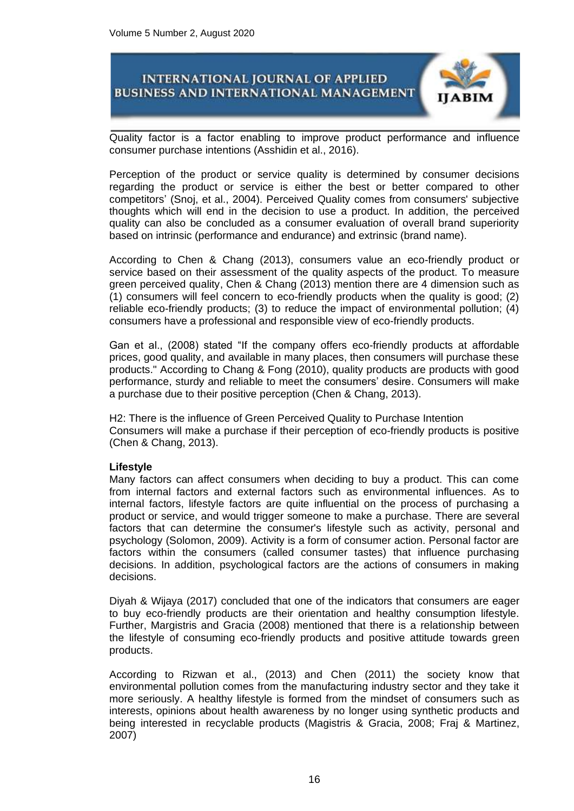

Quality factor is a factor enabling to improve product performance and influence consumer purchase intentions (Asshidin et al., 2016).

Perception of the product or service quality is determined by consumer decisions regarding the product or service is either the best or better compared to other competitors' (Snoj, et al., 2004). Perceived Quality comes from consumers' subjective thoughts which will end in the decision to use a product. In addition, the perceived quality can also be concluded as a consumer evaluation of overall brand superiority based on intrinsic (performance and endurance) and extrinsic (brand name).

According to Chen & Chang (2013), consumers value an eco-friendly product or service based on their assessment of the quality aspects of the product. To measure green perceived quality, Chen & Chang (2013) mention there are 4 dimension such as (1) consumers will feel concern to eco-friendly products when the quality is good; (2) reliable eco-friendly products; (3) to reduce the impact of environmental pollution; (4) consumers have a professional and responsible view of eco-friendly products.

Gan et al., (2008) stated "If the company offers eco-friendly products at affordable prices, good quality, and available in many places, then consumers will purchase these products." According to Chang & Fong (2010), quality products are products with good performance, sturdy and reliable to meet the consumers' desire. Consumers will make a purchase due to their positive perception (Chen & Chang, 2013).

H2: There is the influence of Green Perceived Quality to Purchase Intention Consumers will make a purchase if their perception of eco-friendly products is positive (Chen & Chang, 2013).

#### **Lifestyle**

Many factors can affect consumers when deciding to buy a product. This can come from internal factors and external factors such as environmental influences. As to internal factors, lifestyle factors are quite influential on the process of purchasing a product or service, and would trigger someone to make a purchase. There are several factors that can determine the consumer's lifestyle such as activity, personal and psychology (Solomon, 2009). Activity is a form of consumer action. Personal factor are factors within the consumers (called consumer tastes) that influence purchasing decisions. In addition, psychological factors are the actions of consumers in making decisions.

Diyah & Wijaya (2017) concluded that one of the indicators that consumers are eager to buy eco-friendly products are their orientation and healthy consumption lifestyle. Further, Margistris and Gracia (2008) mentioned that there is a relationship between the lifestyle of consuming eco-friendly products and positive attitude towards green products.

According to Rizwan et al., (2013) and Chen (2011) the society know that environmental pollution comes from the manufacturing industry sector and they take it more seriously. A healthy lifestyle is formed from the mindset of consumers such as interests, opinions about health awareness by no longer using synthetic products and being interested in recyclable products (Magistris & Gracia, 2008; Fraj & Martinez, 2007)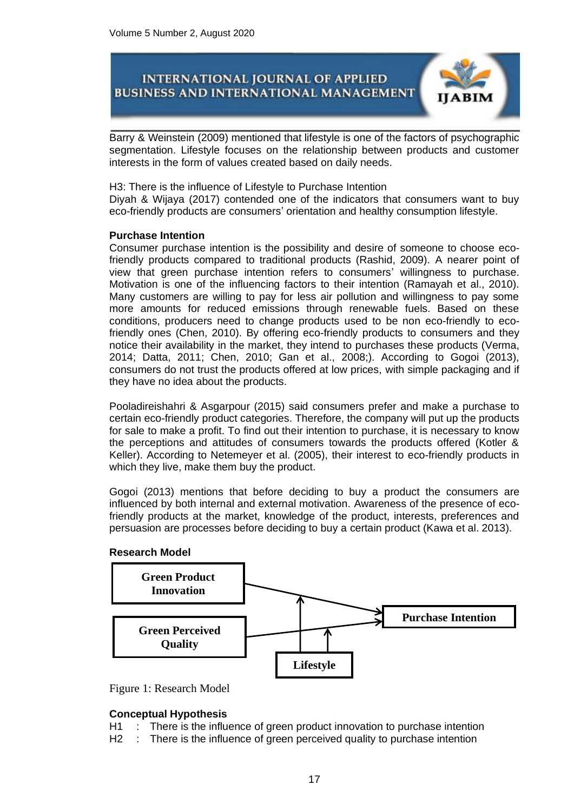

Barry & Weinstein (2009) mentioned that lifestyle is one of the factors of psychographic segmentation. Lifestyle focuses on the relationship between products and customer interests in the form of values created based on daily needs.

H3: There is the influence of Lifestyle to Purchase Intention Diyah & Wijaya (2017) contended one of the indicators that consumers want to buy eco-friendly products are consumers' orientation and healthy consumption lifestyle.

### **Purchase Intention**

Consumer purchase intention is the possibility and desire of someone to choose ecofriendly products compared to traditional products (Rashid, 2009). A nearer point of view that green purchase intention refers to consumers' willingness to purchase. Motivation is one of the influencing factors to their intention (Ramayah et al., 2010). Many customers are willing to pay for less air pollution and willingness to pay some more amounts for reduced emissions through renewable fuels. Based on these conditions, producers need to change products used to be non eco-friendly to ecofriendly ones (Chen, 2010). By offering eco-friendly products to consumers and they notice their availability in the market, they intend to purchases these products (Verma, 2014; Datta, 2011; Chen, 2010; Gan et al., 2008;). According to Gogoi (2013), consumers do not trust the products offered at low prices, with simple packaging and if they have no idea about the products.

Pooladireishahri & Asgarpour (2015) said consumers prefer and make a purchase to certain eco-friendly product categories. Therefore, the company will put up the products for sale to make a profit. To find out their intention to purchase, it is necessary to know the perceptions and attitudes of consumers towards the products offered (Kotler & Keller). According to Netemeyer et al. (2005), their interest to eco-friendly products in which they live, make them buy the product.

Gogoi (2013) mentions that before deciding to buy a product the consumers are influenced by both internal and external motivation. Awareness of the presence of ecofriendly products at the market, knowledge of the product, interests, preferences and persuasion are processes before deciding to buy a certain product (Kawa et al. 2013).

#### **Research Model**





#### **Conceptual Hypothesis**

H1 : There is the influence of green product innovation to purchase intention

H2 : There is the influence of green perceived quality to purchase intention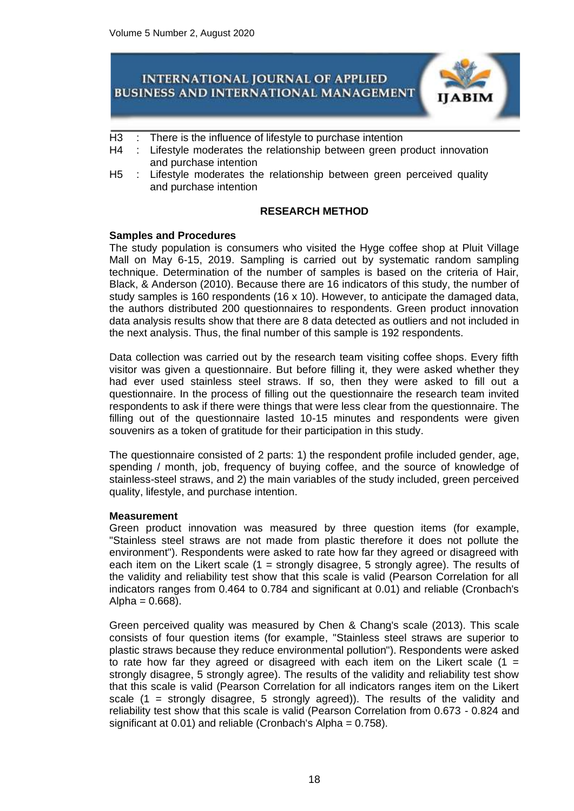

- H3 : There is the influence of lifestyle to purchase intention
- H4 : Lifestyle moderates the relationship between green product innovation and purchase intention
- H5 : Lifestyle moderates the relationship between green perceived quality and purchase intention

## **RESEARCH METHOD**

### **Samples and Procedures**

The study population is consumers who visited the Hyge coffee shop at Pluit Village Mall on May 6-15, 2019. Sampling is carried out by systematic random sampling technique. Determination of the number of samples is based on the criteria of Hair, Black, & Anderson (2010). Because there are 16 indicators of this study, the number of study samples is 160 respondents (16 x 10). However, to anticipate the damaged data, the authors distributed 200 questionnaires to respondents. Green product innovation data analysis results show that there are 8 data detected as outliers and not included in the next analysis. Thus, the final number of this sample is 192 respondents.

Data collection was carried out by the research team visiting coffee shops. Every fifth visitor was given a questionnaire. But before filling it, they were asked whether they had ever used stainless steel straws. If so, then they were asked to fill out a questionnaire. In the process of filling out the questionnaire the research team invited respondents to ask if there were things that were less clear from the questionnaire. The filling out of the questionnaire lasted 10-15 minutes and respondents were given souvenirs as a token of gratitude for their participation in this study.

The questionnaire consisted of 2 parts: 1) the respondent profile included gender, age, spending / month, job, frequency of buying coffee, and the source of knowledge of stainless-steel straws, and 2) the main variables of the study included, green perceived quality, lifestyle, and purchase intention.

#### **Measurement**

Green product innovation was measured by three question items (for example, "Stainless steel straws are not made from plastic therefore it does not pollute the environment"). Respondents were asked to rate how far they agreed or disagreed with each item on the Likert scale  $(1 =$  strongly disagree, 5 strongly agree). The results of the validity and reliability test show that this scale is valid (Pearson Correlation for all indicators ranges from 0.464 to 0.784 and significant at 0.01) and reliable (Cronbach's  $Alpha = 0.668$ ).

Green perceived quality was measured by Chen & Chang's scale (2013). This scale consists of four question items (for example, "Stainless steel straws are superior to plastic straws because they reduce environmental pollution"). Respondents were asked to rate how far they agreed or disagreed with each item on the Likert scale  $(1 =$ strongly disagree, 5 strongly agree). The results of the validity and reliability test show that this scale is valid (Pearson Correlation for all indicators ranges item on the Likert scale (1 = strongly disagree, 5 strongly agreed)). The results of the validity and reliability test show that this scale is valid (Pearson Correlation from 0.673 - 0.824 and significant at 0.01) and reliable (Cronbach's Alpha = 0.758).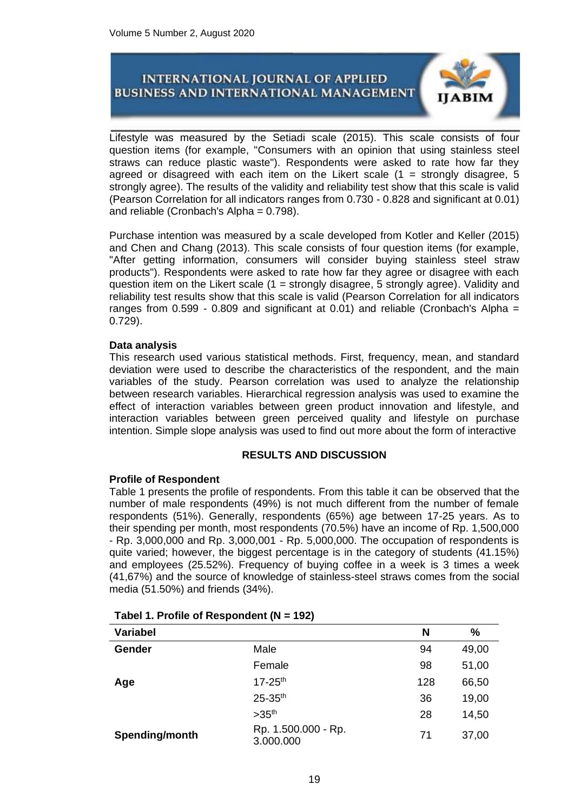

Lifestyle was measured by the Setiadi scale (2015). This scale consists of four question items (for example, "Consumers with an opinion that using stainless steel straws can reduce plastic waste"). Respondents were asked to rate how far they agreed or disagreed with each item on the Likert scale  $(1 =$  strongly disagree, 5 strongly agree). The results of the validity and reliability test show that this scale is valid (Pearson Correlation for all indicators ranges from 0.730 - 0.828 and significant at 0.01) and reliable (Cronbach's Alpha = 0.798).

Purchase intention was measured by a scale developed from Kotler and Keller (2015) and Chen and Chang (2013). This scale consists of four question items (for example, "After getting information, consumers will consider buying stainless steel straw products"). Respondents were asked to rate how far they agree or disagree with each question item on the Likert scale (1 = strongly disagree, 5 strongly agree). Validity and reliability test results show that this scale is valid (Pearson Correlation for all indicators ranges from 0.599 - 0.809 and significant at 0.01) and reliable (Cronbach's Alpha = 0.729).

### **Data analysis**

This research used various statistical methods. First, frequency, mean, and standard deviation were used to describe the characteristics of the respondent, and the main variables of the study. Pearson correlation was used to analyze the relationship between research variables. Hierarchical regression analysis was used to examine the effect of interaction variables between green product innovation and lifestyle, and interaction variables between green perceived quality and lifestyle on purchase intention. Simple slope analysis was used to find out more about the form of interactive

## **RESULTS AND DISCUSSION**

## **Profile of Respondent**

Table 1 presents the profile of respondents. From this table it can be observed that the number of male respondents (49%) is not much different from the number of female respondents (51%). Generally, respondents (65%) age between 17-25 years. As to their spending per month, most respondents (70.5%) have an income of Rp. 1,500,000 - Rp. 3,000,000 and Rp. 3,000,001 - Rp. 5,000,000. The occupation of respondents is quite varied; however, the biggest percentage is in the category of students (41.15%) and employees (25.52%). Frequency of buying coffee in a week is 3 times a week (41,67%) and the source of knowledge of stainless-steel straws comes from the social media (51.50%) and friends (34%).

| <b>Variabel</b> |                                  | N   | $\frac{9}{6}$ |
|-----------------|----------------------------------|-----|---------------|
| Gender          | Male                             | 94  | 49,00         |
|                 | Female                           | 98  | 51,00         |
| Age             | $17 - 25$ <sup>th</sup>          | 128 | 66,50         |
|                 | 25-35th                          | 36  | 19,00         |
|                 | >35 <sup>th</sup>                | 28  | 14,50         |
| Spending/month  | Rp. 1.500.000 - Rp.<br>3.000.000 | 71  | 37,00         |

## **Tabel 1. Profile of Respondent (N = 192)**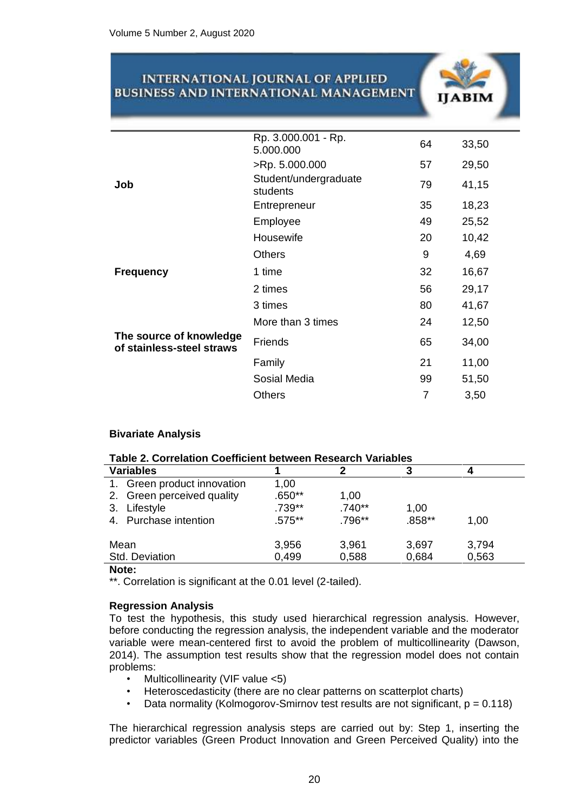|                                                      | Rp. 3.000.001 - Rp.<br>5.000.000  | 64 | 33,50 |
|------------------------------------------------------|-----------------------------------|----|-------|
|                                                      | >Rp. 5.000.000                    | 57 | 29,50 |
| Job                                                  | Student/undergraduate<br>students | 79 | 41,15 |
|                                                      | Entrepreneur                      | 35 | 18,23 |
|                                                      | Employee                          | 49 | 25,52 |
|                                                      | Housewife                         | 20 | 10,42 |
|                                                      | <b>Others</b>                     | 9  | 4,69  |
| <b>Frequency</b>                                     | 1 time                            | 32 | 16,67 |
|                                                      | 2 times                           | 56 | 29,17 |
|                                                      | 3 times                           | 80 | 41,67 |
|                                                      | More than 3 times                 | 24 | 12,50 |
| The source of knowledge<br>of stainless-steel straws | Friends                           | 65 | 34,00 |
|                                                      | Family                            | 21 | 11,00 |
|                                                      | Sosial Media                      | 99 | 51,50 |
|                                                      | <b>Others</b>                     | 7  | 3,50  |
|                                                      |                                   |    |       |

## **Bivariate Analysis**

| Table 2. Correlation Coefficient between Research Variables |          |          |        |       |  |  |
|-------------------------------------------------------------|----------|----------|--------|-------|--|--|
| <b>Variables</b>                                            |          | 2        | 3      | 4     |  |  |
| 1. Green product innovation                                 | 1,00     |          |        |       |  |  |
| 2. Green perceived quality                                  | $.650**$ | 1,00     |        |       |  |  |
| Lifestyle<br>3.                                             | .739**   | $.740**$ | 1,00   |       |  |  |
| 4. Purchase intention                                       | $.575**$ | .796**   | .858** | 1,00  |  |  |
| Mean                                                        | 3,956    | 3,961    | 3,697  | 3,794 |  |  |
|                                                             |          |          |        |       |  |  |
|                                                             |          |          |        |       |  |  |
| Std. Deviation<br>Nato:                                     | 0,499    | 0,588    | 0,684  | 0,563 |  |  |

**Note:** 

\*\*. Correlation is significant at the 0.01 level (2-tailed).

#### **Regression Analysis**

To test the hypothesis, this study used hierarchical regression analysis. However, before conducting the regression analysis, the independent variable and the moderator variable were mean-centered first to avoid the problem of multicollinearity (Dawson, 2014). The assumption test results show that the regression model does not contain problems:

- Multicollinearity (VIF value <5)
- Heteroscedasticity (there are no clear patterns on scatterplot charts)
- Data normality (Kolmogorov-Smirnov test results are not significant,  $p = 0.118$ )

The hierarchical regression analysis steps are carried out by: Step 1, inserting the predictor variables (Green Product Innovation and Green Perceived Quality) into the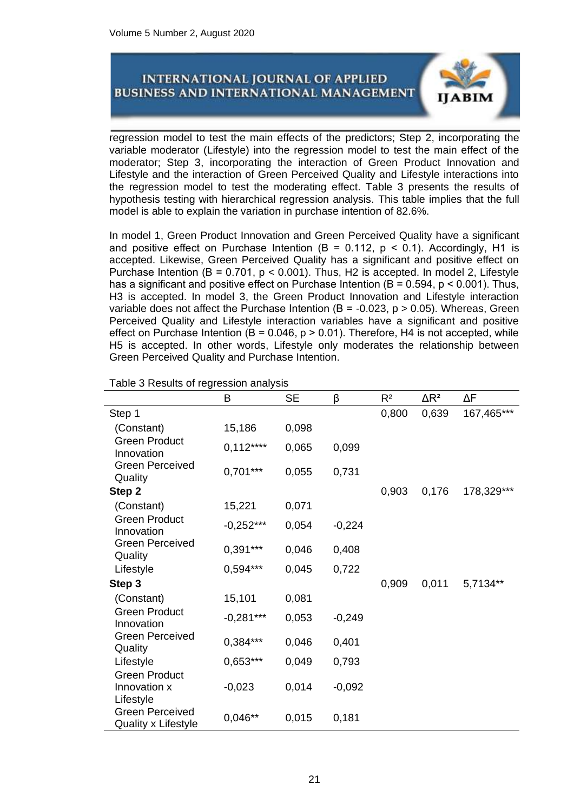

regression model to test the main effects of the predictors; Step 2, incorporating the variable moderator (Lifestyle) into the regression model to test the main effect of the moderator; Step 3, incorporating the interaction of Green Product Innovation and Lifestyle and the interaction of Green Perceived Quality and Lifestyle interactions into the regression model to test the moderating effect. Table 3 presents the results of hypothesis testing with hierarchical regression analysis. This table implies that the full model is able to explain the variation in purchase intention of 82.6%.

In model 1, Green Product Innovation and Green Perceived Quality have a significant and positive effect on Purchase Intention (B = 0.112,  $p$  < 0.1). Accordingly, H1 is accepted. Likewise, Green Perceived Quality has a significant and positive effect on Purchase Intention ( $B = 0.701$ ,  $p < 0.001$ ). Thus, H2 is accepted. In model 2, Lifestyle has a significant and positive effect on Purchase Intention ( $B = 0.594$ ,  $p < 0.001$ ). Thus, H3 is accepted. In model 3, the Green Product Innovation and Lifestyle interaction variable does not affect the Purchase Intention ( $B = -0.023$ ,  $p > 0.05$ ). Whereas, Green Perceived Quality and Lifestyle interaction variables have a significant and positive effect on Purchase Intention ( $B = 0.046$ ,  $p > 0.01$ ). Therefore, H4 is not accepted, while H5 is accepted. In other words, Lifestyle only moderates the relationship between Green Perceived Quality and Purchase Intention.

|                                               | B           | <b>SE</b> | β        | R <sup>2</sup> | $\Delta$ R <sup>2</sup> | ΔF         |
|-----------------------------------------------|-------------|-----------|----------|----------------|-------------------------|------------|
| Step 1                                        |             |           |          | 0,800          | 0,639                   | 167,465*** |
| (Constant)                                    | 15,186      | 0,098     |          |                |                         |            |
| <b>Green Product</b><br>Innovation            | $0,112***$  | 0,065     | 0,099    |                |                         |            |
| <b>Green Perceived</b><br>Quality             | $0,701***$  | 0,055     | 0,731    |                |                         |            |
| Step 2                                        |             |           |          | 0,903          | 0,176                   | 178,329*** |
| (Constant)                                    | 15,221      | 0,071     |          |                |                         |            |
| <b>Green Product</b><br>Innovation            | $-0,252***$ | 0,054     | $-0,224$ |                |                         |            |
| <b>Green Perceived</b><br>Quality             | $0,391***$  | 0,046     | 0,408    |                |                         |            |
| Lifestyle                                     | 0,594***    | 0,045     | 0,722    |                |                         |            |
| Step 3                                        |             |           |          | 0,909          | 0,011                   | 5,7134**   |
| (Constant)                                    | 15,101      | 0,081     |          |                |                         |            |
| <b>Green Product</b><br>Innovation            | $-0,281***$ | 0,053     | $-0,249$ |                |                         |            |
| <b>Green Perceived</b><br>Quality             | $0,384***$  | 0,046     | 0,401    |                |                         |            |
| Lifestyle                                     | $0,653***$  | 0,049     | 0,793    |                |                         |            |
| <b>Green Product</b>                          |             |           |          |                |                         |            |
| Innovation x<br>Lifestyle                     | $-0,023$    | 0,014     | $-0,092$ |                |                         |            |
| <b>Green Perceived</b><br>Quality x Lifestyle | $0,046**$   | 0,015     | 0,181    |                |                         |            |

Table 3 Results of regression analysis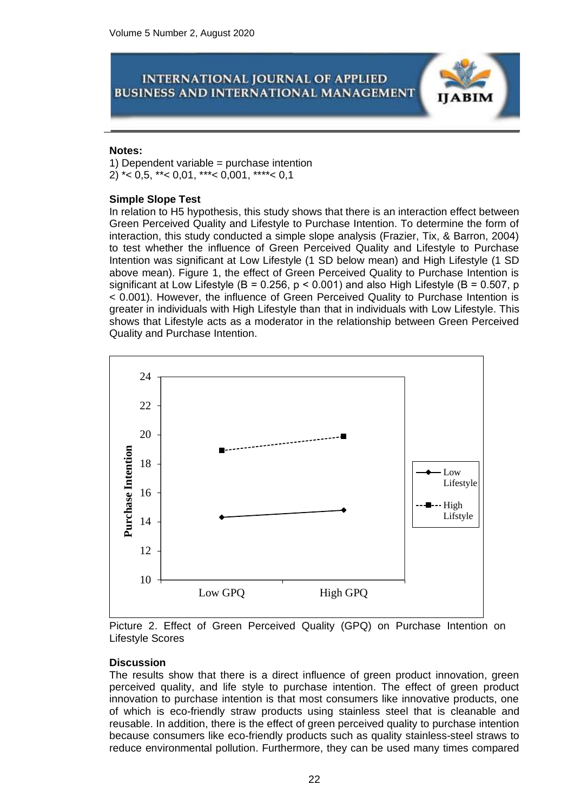#### **Notes:**

1) Dependent variable = purchase intention 2) \* < 0,5, \* \* < 0,01, \* \* \* < 0,001, \* \* \* \* < 0,1

#### **Simple Slope Test**

In relation to H5 hypothesis, this study shows that there is an interaction effect between Green Perceived Quality and Lifestyle to Purchase Intention. To determine the form of interaction, this study conducted a simple slope analysis (Frazier, Tix, & Barron, 2004) to test whether the influence of Green Perceived Quality and Lifestyle to Purchase Intention was significant at Low Lifestyle (1 SD below mean) and High Lifestyle (1 SD above mean). Figure 1, the effect of Green Perceived Quality to Purchase Intention is significant at Low Lifestyle (B = 0.256,  $p < 0.001$ ) and also High Lifestyle (B = 0.507, p < 0.001). However, the influence of Green Perceived Quality to Purchase Intention is greater in individuals with High Lifestyle than that in individuals with Low Lifestyle. This shows that Lifestyle acts as a moderator in the relationship between Green Perceived Quality and Purchase Intention.



Picture 2. Effect of Green Perceived Quality (GPQ) on Purchase Intention on Lifestyle Scores

#### **Discussion**

The results show that there is a direct influence of green product innovation, green perceived quality, and life style to purchase intention. The effect of green product innovation to purchase intention is that most consumers like innovative products, one of which is eco-friendly straw products using stainless steel that is cleanable and reusable. In addition, there is the effect of green perceived quality to purchase intention because consumers like eco-friendly products such as quality stainless-steel straws to reduce environmental pollution. Furthermore, they can be used many times compared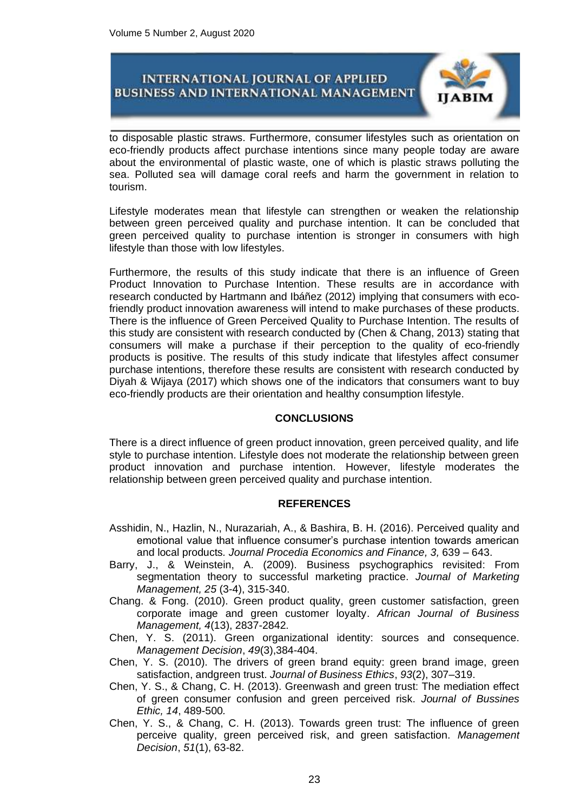

to disposable plastic straws. Furthermore, consumer lifestyles such as orientation on eco-friendly products affect purchase intentions since many people today are aware about the environmental of plastic waste, one of which is plastic straws polluting the sea. Polluted sea will damage coral reefs and harm the government in relation to tourism.

Lifestyle moderates mean that lifestyle can strengthen or weaken the relationship between green perceived quality and purchase intention. It can be concluded that green perceived quality to purchase intention is stronger in consumers with high lifestyle than those with low lifestyles.

Furthermore, the results of this study indicate that there is an influence of Green Product Innovation to Purchase Intention. These results are in accordance with research conducted by Hartmann and Ibáñez (2012) implying that consumers with ecofriendly product innovation awareness will intend to make purchases of these products. There is the influence of Green Perceived Quality to Purchase Intention. The results of this study are consistent with research conducted by (Chen & Chang, 2013) stating that consumers will make a purchase if their perception to the quality of eco-friendly products is positive. The results of this study indicate that lifestyles affect consumer purchase intentions, therefore these results are consistent with research conducted by Diyah & Wijaya (2017) which shows one of the indicators that consumers want to buy eco-friendly products are their orientation and healthy consumption lifestyle.

## **CONCLUSIONS**

There is a direct influence of green product innovation, green perceived quality, and life style to purchase intention. Lifestyle does not moderate the relationship between green product innovation and purchase intention. However, lifestyle moderates the relationship between green perceived quality and purchase intention.

#### **REFERENCES**

- Asshidin, N., Hazlin, N., Nurazariah, A., & Bashira, B. H. (2016). Perceived quality and emotional value that influence consumer's purchase intention towards american and local products*. Journal Procedia Economics and Finance, 3,* 639 – 643.
- Barry, J., & Weinstein, A. (2009). Business psychographics revisited: From segmentation theory to successful marketing practice. *Journal of Marketing Management, 25* (3-4), 315-340.
- Chang. & Fong. (2010). Green product quality, green customer satisfaction, green corporate image and green customer loyalty. *African Journal of Business Management, 4*(13), 2837-2842*.*
- Chen, Y. S. (2011). Green organizational identity: sources and consequence. *Management Decision*, *49*(3),384-404.
- Chen, Y. S. (2010). The drivers of green brand equity: green brand image, green satisfaction, andgreen trust. *Journal of Business Ethics*, *93*(2), 307–319.
- Chen, Y. S., & Chang, C. H. (2013). Greenwash and green trust: The mediation effect of green consumer confusion and green perceived risk. *Journal of Bussines Ethic, 14*, 489-500*.*
- Chen, Y. S., & Chang, C. H. (2013). Towards green trust: The influence of green perceive quality, green perceived risk, and green satisfaction. *Management Decision*, *51*(1), 63-82.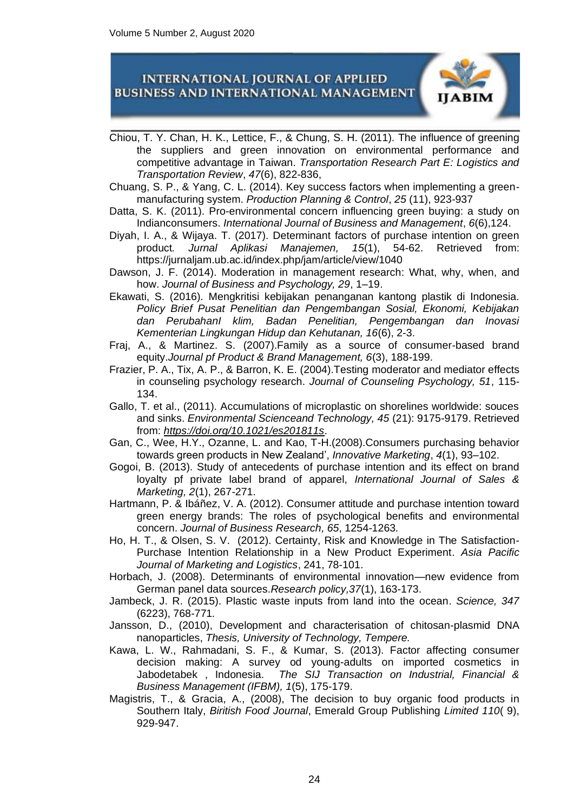

- Chiou, T. Y. Chan, H. K., Lettice, F., & Chung, S. H. (2011). The influence of greening the suppliers and green innovation on environmental performance and competitive advantage in Taiwan. *Transportation Research Part E: Logistics and Transportation Review*, *47*(6), 822-836,
- Chuang, S. P., & Yang, C. L. (2014). Key success factors when implementing a greenmanufacturing system. *Production Planning & Control*, *25* (11), 923-937
- Datta, S. K. (2011). Pro-environmental concern influencing green buying: a study on Indianconsumers. *International Journal of Business and Management*, *6*(6),124.
- Diyah, I. A., & Wijaya. T. (2017). Determinant factors of purchase intention on green product*. Jurnal Aplikasi Manajemen, 15*(1), 54-62. Retrieved from: <https://jurnaljam.ub.ac.id/index.php/jam/article/view/1040>
- Dawson, J. F. (2014). Moderation in management research: What, why, when, and how. *Journal of Business and Psychology, 29*, 1–19.
- Ekawati, S. (2016). Mengkritisi kebijakan penanganan kantong plastik di Indonesia. *Policy Brief Pusat Penelitian dan Pengembangan Sosial, Ekonomi, Kebijakan dan PerubahanI klim, Badan Penelitian, Pengembangan dan Inovasi Kementerian Lingkungan Hidup dan Kehutanan, 16*(6), 2-3.
- Fraj, A., & Martinez. S. (2007).Family as a source of consumer-based brand equity.*Journal pf Product & Brand Management, 6*(3), 188-199.
- Frazier, P. A., Tix, A. P., & Barron, K. E. (2004).Testing moderator and mediator effects in counseling psychology research. *Journal of Counseling Psychology, 51*, 115- 134.
- Gallo, T. et al., (2011). Accumulations of microplastic on shorelines worldwide: souces and sinks. *Environmental Scienceand Technology, 45* (21): 9175-9179. Retrieved from: *<https://doi.org/10.1021/es201811s>*.
- Gan, C., Wee, H.Y., Ozanne, L. and Kao, T-H.(2008).Consumers purchasing behavior towards green products in New Zealand', *Innovative Marketing*, *4*(1), 93–102.
- Gogoi, B. (2013). Study of antecedents of purchase intention and its effect on brand loyalty pf private label brand of apparel, *International Journal of Sales & Marketing, 2*(1), 267-271.
- Hartmann, P. & Ibáñez, V. A. (2012). Consumer attitude and purchase intention toward green energy brands: The roles of psychological benefits and environmental concern. *Journal of Business Research, 65*, 1254-1263*.*
- Ho, H. T., & Olsen, S. V. (2012). Certainty, Risk and Knowledge in The Satisfaction-Purchase Intention Relationship in a New Product Experiment. *Asia Pacific Journal of Marketing and Logistics*, 241, 78-101.
- Horbach, J. (2008). Determinants of environmental innovation—new evidence from German panel data sources.*Research policy,37*(1), 163-173.
- Jambeck, J. R. (2015). Plastic waste inputs from land into the ocean. *Science, 347* (6223), 768-771*.*
- Jansson, D., (2010), Development and characterisation of chitosan-plasmid DNA nanoparticles, *Thesis, University of Technology, Tempere.*
- Kawa, L. W., Rahmadani, S. F., & Kumar, S. (2013). Factor affecting consumer decision making: A survey od young-adults on imported cosmetics in Jabodetabek , Indonesia. *The SIJ Transaction on Industrial, Financial & Business Management (IFBM), 1*(5), 175-179.
- Magistris, T., & Gracia, A., (2008), The decision to buy organic food products in Southern Italy, *Biritish Food Journal*, Emerald Group Publishing *Limited 110*( 9), 929-947.